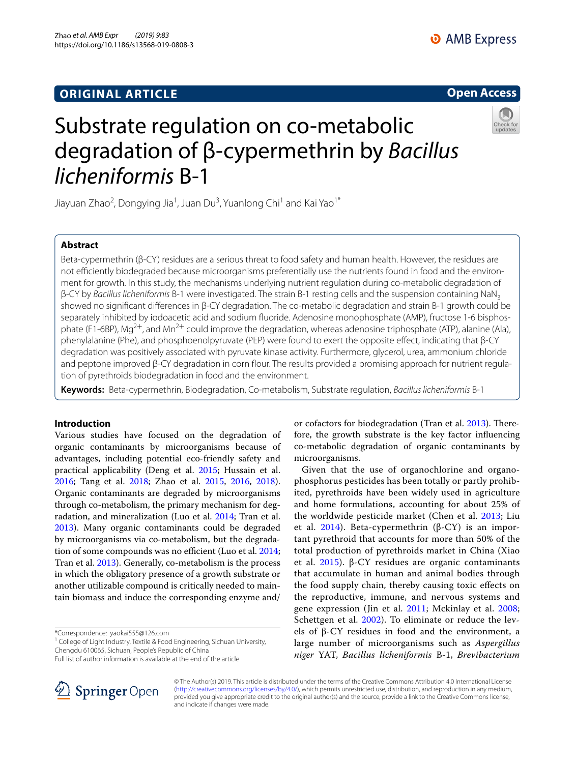# **ORIGINAL ARTICLE**

## **Open Access**



# Substrate regulation on co-metabolic degradation of β-cypermethrin by *Bacillus licheniformis* B-1

Jiayuan Zhao<sup>2</sup>, Dongying Jia<sup>1</sup>, Juan Du<sup>3</sup>, Yuanlong Chi<sup>1</sup> and Kai Yao<sup>1\*</sup>

## **Abstract**

Beta-cypermethrin (β-CY) residues are a serious threat to food safety and human health. However, the residues are not efficiently biodegraded because microorganisms preferentially use the nutrients found in food and the environment for growth. In this study, the mechanisms underlying nutrient regulation during co-metabolic degradation of β-CY by *Bacillus licheniformis* B-1 were investigated. The strain B-1 resting cells and the suspension containing NaN3 showed no signifcant diferences in β-CY degradation. The co-metabolic degradation and strain B-1 growth could be separately inhibited by iodoacetic acid and sodium fuoride. Adenosine monophosphate (AMP), fructose 1-6 bisphosphate (F1-6BP), Mg<sup>2+</sup>, and Mn<sup>2+</sup> could improve the degradation, whereas adenosine triphosphate (ATP), alanine (Ala), phenylalanine (Phe), and phosphoenolpyruvate (PEP) were found to exert the opposite efect, indicating that β-CY degradation was positively associated with pyruvate kinase activity. Furthermore, glycerol, urea, ammonium chloride and peptone improved β-CY degradation in corn four. The results provided a promising approach for nutrient regulation of pyrethroids biodegradation in food and the environment.

**Keywords:** Beta-cypermethrin, Biodegradation, Co-metabolism, Substrate regulation, *Bacillus licheniformis* B-1

## **Introduction**

Various studies have focused on the degradation of organic contaminants by microorganisms because of advantages, including potential eco-friendly safety and practical applicability (Deng et al. [2015](#page-9-0); Hussain et al. [2016](#page-10-0); Tang et al. [2018;](#page-10-1) Zhao et al. [2015](#page-10-2), [2016,](#page-10-3) [2018](#page-10-4)). Organic contaminants are degraded by microorganisms through co-metabolism, the primary mechanism for degradation, and mineralization (Luo et al. [2014](#page-10-5); Tran et al. [2013](#page-10-6)). Many organic contaminants could be degraded by microorganisms via co-metabolism, but the degrada-tion of some compounds was no efficient (Luo et al. [2014](#page-10-5); Tran et al. [2013](#page-10-6)). Generally, co-metabolism is the process in which the obligatory presence of a growth substrate or another utilizable compound is critically needed to maintain biomass and induce the corresponding enzyme and/

\*Correspondence: yaokai555@126.com

<sup>1</sup> College of Light Industry, Textile & Food Engineering, Sichuan University, Chengdu 610065, Sichuan, People's Republic of China



Given that the use of organochlorine and organophosphorus pesticides has been totally or partly prohibited, pyrethroids have been widely used in agriculture and home formulations, accounting for about 25% of the worldwide pesticide market (Chen et al. [2013;](#page-9-1) Liu et al. [2014](#page-10-7)). Beta-cypermethrin (β-CY) is an important pyrethroid that accounts for more than 50% of the total production of pyrethroids market in China (Xiao et al. [2015\)](#page-10-8). β-CY residues are organic contaminants that accumulate in human and animal bodies through the food supply chain, thereby causing toxic efects on the reproductive, immune, and nervous systems and gene expression (Jin et al. [2011;](#page-10-9) Mckinlay et al. [2008](#page-10-10); Schettgen et al. [2002\)](#page-10-11). To eliminate or reduce the levels of β-CY residues in food and the environment, a large number of microorganisms such as *Aspergillus niger* YAT, *Bacillus licheniformis* B-1, *Brevibacterium* 



© The Author(s) 2019. This article is distributed under the terms of the Creative Commons Attribution 4.0 International License [\(http://creativecommons.org/licenses/by/4.0/\)](http://creativecommons.org/licenses/by/4.0/), which permits unrestricted use, distribution, and reproduction in any medium, provided you give appropriate credit to the original author(s) and the source, provide a link to the Creative Commons license, and indicate if changes were made.

Full list of author information is available at the end of the article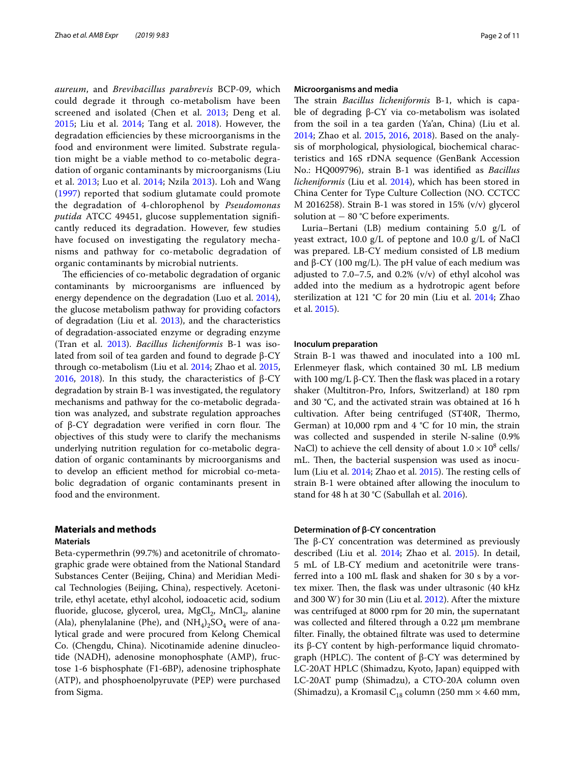*aureum*, and *Brevibacillus parabrevis* BCP-09, which could degrade it through co-metabolism have been screened and isolated (Chen et al. [2013](#page-9-1); Deng et al. [2015;](#page-9-0) Liu et al. [2014](#page-10-7); Tang et al. [2018](#page-10-1)). However, the degradation efficiencies by these microorganisms in the food and environment were limited. Substrate regulation might be a viable method to co-metabolic degradation of organic contaminants by microorganisms (Liu et al. [2013](#page-10-12); Luo et al. [2014;](#page-10-5) Nzila [2013\)](#page-10-13). Loh and Wang ([1997](#page-10-14)) reported that sodium glutamate could promote the degradation of 4-chlorophenol by *Pseudomonas putida* ATCC 49451, glucose supplementation signifcantly reduced its degradation. However, few studies have focused on investigating the regulatory mechanisms and pathway for co-metabolic degradation of organic contaminants by microbial nutrients.

The efficiencies of co-metabolic degradation of organic contaminants by microorganisms are infuenced by energy dependence on the degradation (Luo et al. [2014](#page-10-5)), the glucose metabolism pathway for providing cofactors of degradation (Liu et al. [2013](#page-10-12)), and the characteristics of degradation-associated enzyme or degrading enzyme (Tran et al. [2013\)](#page-10-6). *Bacillus licheniformis* B-1 was isolated from soil of tea garden and found to degrade β-CY through co-metabolism (Liu et al. [2014](#page-10-7); Zhao et al. [2015](#page-10-2), [2016](#page-10-3), [2018\)](#page-10-4). In this study, the characteristics of  $β$ -CY degradation by strain B-1 was investigated, the regulatory mechanisms and pathway for the co-metabolic degradation was analyzed, and substrate regulation approaches of  $β$ -CY degradation were verified in corn flour. The objectives of this study were to clarify the mechanisms underlying nutrition regulation for co-metabolic degradation of organic contaminants by microorganisms and to develop an efficient method for microbial co-metabolic degradation of organic contaminants present in food and the environment.

## **Materials and methods Materials**

Beta-cypermethrin (99.7%) and acetonitrile of chromatographic grade were obtained from the National Standard Substances Center (Beijing, China) and Meridian Medical Technologies (Beijing, China), respectively. Acetonitrile, ethyl acetate, ethyl alcohol, iodoacetic acid, sodium fluoride, glucose, glycerol, urea,  $MgCl<sub>2</sub>$ ,  $MnCl<sub>2</sub>$ , alanine (Ala), phenylalanine (Phe), and  $(NH_4)_2SO_4$  were of analytical grade and were procured from Kelong Chemical Co. (Chengdu, China). Nicotinamide adenine dinucleotide (NADH), adenosine monophosphate (AMP), fructose 1-6 bisphosphate (F1-6BP), adenosine triphosphate (ATP), and phosphoenolpyruvate (PEP) were purchased from Sigma.

#### **Microorganisms and media**

The strain *Bacillus licheniformis* B-1, which is capable of degrading β-CY via co-metabolism was isolated from the soil in a tea garden (Ya'an, China) (Liu et al. [2014](#page-10-7); Zhao et al. [2015](#page-10-2), [2016](#page-10-3), [2018](#page-10-4)). Based on the analysis of morphological, physiological, biochemical characteristics and 16S rDNA sequence (GenBank Accession No.: HQ009796), strain B-1 was identifed as *Bacillus licheniformis* (Liu et al. [2014](#page-10-7)), which has been stored in China Center for Type Culture Collection (NO. CCTCC M 2016258). Strain B-1 was stored in 15% (v/v) glycerol solution at – 80 °C before experiments.

Luria–Bertani (LB) medium containing 5.0 g/L of yeast extract, 10.0 g/L of peptone and 10.0 g/L of NaCl was prepared. LB-CY medium consisted of LB medium and β-CY (100 mg/L). The pH value of each medium was adjusted to 7.0–7.5, and 0.2%  $(v/v)$  of ethyl alcohol was added into the medium as a hydrotropic agent before sterilization at 121 °C for 20 min (Liu et al. [2014](#page-10-7); Zhao et al. [2015](#page-10-2)).

#### **Inoculum preparation**

Strain B-1 was thawed and inoculated into a 100 mL Erlenmeyer fask, which contained 30 mL LB medium with 100 mg/L β-CY. Then the flask was placed in a rotary shaker (Multitron-Pro, Infors, Switzerland) at 180 rpm and 30 °C, and the activated strain was obtained at 16 h cultivation. After being centrifuged (ST40R, Thermo, German) at 10,000 rpm and  $4 °C$  for 10 min, the strain was collected and suspended in sterile N-saline (0.9% NaCl) to achieve the cell density of about  $1.0 \times 10^8$  cells/ mL. Then, the bacterial suspension was used as inoculum (Liu et al.  $2014$ ; Zhao et al.  $2015$ ). The resting cells of strain B-1 were obtained after allowing the inoculum to stand for 48 h at 30 °C (Sabullah et al. [2016\)](#page-10-15).

#### **Determination of β‑CY concentration**

The  $\beta$ -CY concentration was determined as previously described (Liu et al. [2014](#page-10-7); Zhao et al. [2015](#page-10-2)). In detail, 5 mL of LB-CY medium and acetonitrile were transferred into a 100 mL fask and shaken for 30 s by a vortex mixer. Then, the flask was under ultrasonic (40 kHz and 300 W) for 30 min (Liu et al. [2012\)](#page-10-16). After the mixture was centrifuged at 8000 rpm for 20 min, the supernatant was collected and fltered through a 0.22 μm membrane flter. Finally, the obtained fltrate was used to determine its β-CY content by high-performance liquid chromatograph (HPLC). The content of  $β$ -CY was determined by LC-20AT HPLC (Shimadzu, Kyoto, Japan) equipped with LC-20AT pump (Shimadzu), a CTO-20A column oven (Shimadzu), a Kromasil C<sub>18</sub> column (250 mm × 4.60 mm,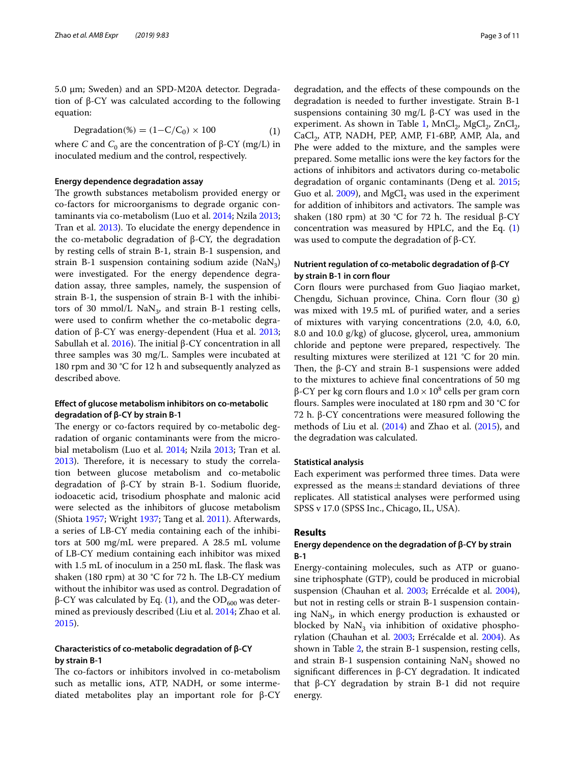5.0 μm; Sweden) and an SPD-M20A detector. Degradation of β-CY was calculated according to the following equation:

$$
Degradation(\%) = (1 - C/C_0) \times 100 \tag{1}
$$

where *C* and  $C_0$  are the concentration of β-CY (mg/L) in inoculated medium and the control, respectively.

#### **Energy dependence degradation assay**

The growth substances metabolism provided energy or co-factors for microorganisms to degrade organic contaminants via co-metabolism (Luo et al. [2014](#page-10-5); Nzila [2013](#page-10-13); Tran et al. [2013](#page-10-6)). To elucidate the energy dependence in the co-metabolic degradation of β-CY, the degradation by resting cells of strain B-1, strain B-1 suspension, and strain B-1 suspension containing sodium azide  $(NaN<sub>3</sub>)$ were investigated. For the energy dependence degradation assay, three samples, namely, the suspension of strain B-1, the suspension of strain B-1 with the inhibitors of 30 mmol/L  $\text{NaN}_3$ , and strain B-1 resting cells, were used to confrm whether the co-metabolic degradation of β-CY was energy-dependent (Hua et al. [2013](#page-10-17); Sabullah et al. [2016](#page-10-15)). The initial β-CY concentration in all three samples was 30 mg/L. Samples were incubated at 180 rpm and 30 °C for 12 h and subsequently analyzed as described above.

## **Efect of glucose metabolism inhibitors on co‑metabolic degradation of β‑CY by strain B‑1**

The energy or co-factors required by co-metabolic degradation of organic contaminants were from the microbial metabolism (Luo et al. [2014;](#page-10-5) Nzila [2013;](#page-10-13) Tran et al. [2013](#page-10-6)). Therefore, it is necessary to study the correlation between glucose metabolism and co-metabolic degradation of β-CY by strain B-1. Sodium fuoride, iodoacetic acid, trisodium phosphate and malonic acid were selected as the inhibitors of glucose metabolism (Shiota [1957](#page-10-18); Wright [1937](#page-10-19); Tang et al. [2011\)](#page-10-20). Afterwards, a series of LB-CY media containing each of the inhibitors at 500 mg/mL were prepared. A 28.5 mL volume of LB-CY medium containing each inhibitor was mixed with 1.5 mL of inoculum in a 250 mL flask. The flask was shaken (180 rpm) at 30 °C for 72 h. The LB-CY medium without the inhibitor was used as control. Degradation of β-CY was calculated by Eq. [\(1\)](#page-2-0), and the  $OD<sub>600</sub>$  was determined as previously described (Liu et al. [2014;](#page-10-7) Zhao et al. [2015](#page-10-2)).

#### **Characteristics of co‑metabolic degradation of β‑CY by strain B‑1**

The co-factors or inhibitors involved in co-metabolism such as metallic ions, ATP, NADH, or some intermediated metabolites play an important role for β-CY

<span id="page-2-0"></span>degradation, and the efects of these compounds on the degradation is needed to further investigate. Strain B-1 suspensions containing 30 mg/L  $β$ -CY was used in the experiment. As shown in Table [1,](#page-3-0)  $MnCl_2$ ,  $MgCl_2$ ,  $ZnCl_2$ ,  $CaCl<sub>2</sub>$ , ATP, NADH, PEP, AMP, F1-6BP, AMP, Ala, and Phe were added to the mixture, and the samples were prepared. Some metallic ions were the key factors for the actions of inhibitors and activators during co-metabolic degradation of organic contaminants (Deng et al. [2015](#page-9-0); Guo et al.  $2009$ ), and MgCl<sub>2</sub> was used in the experiment for addition of inhibitors and activators. The sample was shaken (180 rpm) at 30 °C for 72 h. The residual β-CY concentration was measured by HPLC, and the Eq.  $(1)$  $(1)$ 

#### **Nutrient regulation of co‑metabolic degradation of β‑CY by strain B‑1 in corn four**

was used to compute the degradation of  $β$ -CY.

Corn flours were purchased from Guo Jiaqiao market, Chengdu, Sichuan province, China. Corn flour (30 g) was mixed with 19.5 mL of purifed water, and a series of mixtures with varying concentrations (2.0, 4.0, 6.0, 8.0 and 10.0 g/kg) of glucose, glycerol, urea, ammonium chloride and peptone were prepared, respectively. The resulting mixtures were sterilized at 121 °C for 20 min. Then, the  $\beta$ -CY and strain B-1 suspensions were added to the mixtures to achieve fnal concentrations of 50 mg β-CY per kg corn flours and  $1.0 \times 10^8$  cells per gram corn flours. Samples were inoculated at 180 rpm and 30 °C for 72 h. β-CY concentrations were measured following the methods of Liu et al. ([2014](#page-10-7)) and Zhao et al. ([2015\)](#page-10-2), and the degradation was calculated.

#### **Statistical analysis**

Each experiment was performed three times. Data were expressed as the means $\pm$ standard deviations of three replicates. All statistical analyses were performed using SPSS v 17.0 (SPSS Inc., Chicago, IL, USA).

#### **Results**

#### **Energy dependence on the degradation of β‑CY by strain B‑1**

Energy-containing molecules, such as ATP or guanosine triphosphate (GTP), could be produced in microbial suspension (Chauhan et al. [2003](#page-9-2); Errécalde et al. [2004](#page-10-22)), but not in resting cells or strain B-1 suspension containing  $NaN<sub>3</sub>$ , in which energy production is exhausted or blocked by  $\text{Na}\text{N}_3$  via inhibition of oxidative phosphorylation (Chauhan et al. [2003](#page-9-2); Errécalde et al. [2004\)](#page-10-22). As shown in Table [2](#page-4-0), the strain B-1 suspension, resting cells, and strain B-1 suspension containing  $\text{NaN}_3$  showed no signifcant diferences in β-CY degradation. It indicated that β-CY degradation by strain B-1 did not require energy.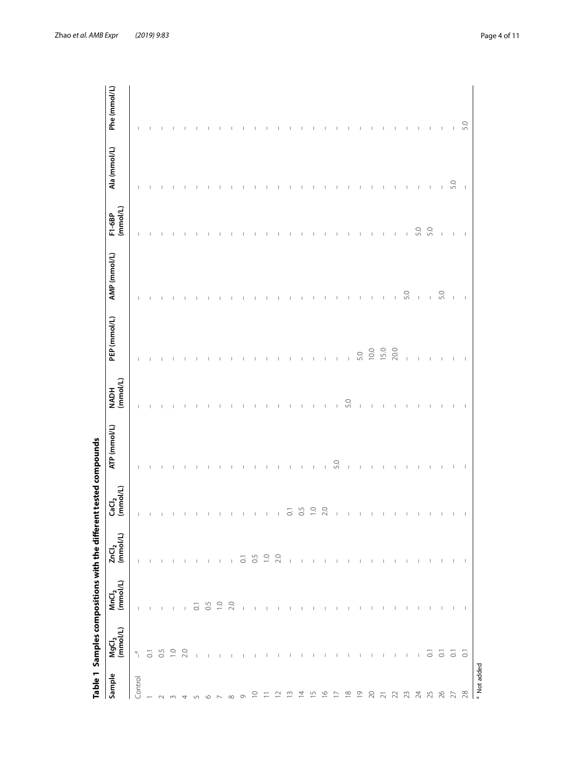<span id="page-3-0"></span>

|                                                               | Table 1 Samples compositions with the different tested compounds |                          |                                    |                    |              |                  |                |                                       |                          |              |              |
|---------------------------------------------------------------|------------------------------------------------------------------|--------------------------|------------------------------------|--------------------|--------------|------------------|----------------|---------------------------------------|--------------------------|--------------|--------------|
| Sample                                                        | $MgCl2$ (mmol/L)                                                 | $MnCl2$<br>(mmol/L)      | $ZnCl2$<br>(mmol/L)                | $Gal2$ (mmol/L)    | ATP (mmol/L) | NADH<br>(mmol/L) | PEP (mmol/L)   | AMP (mmol/L)                          | (mmol/L)<br>F1-6BP       | Ala (mmol/L) | Phe (mmol/L) |
| Control                                                       | $\overline{\phantom{a}}^{\circ}$                                 |                          |                                    | $\mathbb{I}$       |              | T                | I              | $\mathbf{I}$                          | $\mathbb I$              | I            | $\mathbf{I}$ |
|                                                               | $\overline{C}$                                                   | $\mathbb{L}=\mathbb{L}$  | $\mathbf{1}=\mathbf{1}=\mathbf{1}$ |                    |              |                  |                |                                       |                          |              |              |
|                                                               | 0.5                                                              | $\sim 1$                 |                                    |                    |              |                  |                |                                       |                          |              |              |
|                                                               |                                                                  | $\Box$                   | $\mathbf{L}$                       |                    |              |                  |                |                                       |                          |              |              |
|                                                               | $\frac{0}{2}$ 0                                                  | $\overline{\phantom{0}}$ | $\mathbb{R}$                       |                    |              |                  |                |                                       |                          |              |              |
| $ N$ $m$ $n$ $n$ $n$ $n$ $n$ $n$ $n$ $n$                      | $\sim 1$                                                         |                          | $\blacksquare$                     |                    |              |                  |                |                                       |                          |              |              |
|                                                               | $\sim 1$                                                         |                          | $\overline{\phantom{a}}$           |                    |              |                  |                |                                       |                          |              |              |
|                                                               | $\overline{\phantom{0}}$                                         | 50.50                    | - 11                               |                    |              |                  |                |                                       |                          |              |              |
|                                                               | $\mathbb{R}$                                                     |                          | $\mathbf{1}$                       |                    |              |                  |                |                                       |                          |              |              |
|                                                               | $\blacksquare$                                                   | $\sim$ 1                 | $\overline{\mathrm{o}}$            |                    |              |                  |                |                                       |                          |              |              |
| $\supseteq$                                                   | $\Box$                                                           | $\blacksquare$           | 0.5                                |                    |              |                  |                |                                       |                          |              |              |
| $\Xi$                                                         | $\overline{1}$                                                   | $\mathbb{L}$             |                                    | Ш                  |              |                  |                |                                       |                          |              |              |
| $\approx$ $\approx$                                           | $\Box$                                                           |                          |                                    | L                  |              |                  |                |                                       |                          |              |              |
|                                                               | $\mathbf{I}$ and $\mathbf{I}$                                    | $-1$ $-1$                | $\mathcal{A}$                      | $\overline{\circ}$ |              |                  |                |                                       |                          |              |              |
| $\overline{4}$                                                |                                                                  | $\Box$                   | $\overline{\phantom{0}}$           | $\overline{0}$ .5  |              |                  |                |                                       |                          |              |              |
| $\begin{array}{ccccc}\n5 & 6 & 7 \\ 10 & 10 & 1\n\end{array}$ | $\overline{1}$                                                   | $\pm$ $\pm$              | $\mathbb{R}$                       | $\overline{a}$     |              |                  |                |                                       |                          |              |              |
|                                                               | $\overline{\phantom{a}}$                                         |                          | $\mathbb{R}$                       | 2.0                |              |                  |                |                                       |                          |              |              |
|                                                               | $\Box$                                                           | $\blacksquare$           | $\Box$                             |                    | 5.0          |                  |                |                                       |                          |              |              |
| $\begin{array}{ccccc} \Xi & \Xi & \Xi & \Xi \end{array}$      | $\overline{\phantom{a}}$                                         | $\overline{\phantom{a}}$ | $\sim$ 1                           |                    |              | 5.0              | $\vert$        |                                       |                          |              |              |
|                                                               | $\mathbb{L}$                                                     | $\mathbb{L}$             | $\Box$                             |                    |              | T                | 5.0            |                                       |                          |              |              |
|                                                               | $\blacksquare$                                                   | $\overline{1}$           | $\overline{\phantom{a}}$           |                    |              |                  | 10.0           |                                       | I                        |              |              |
|                                                               | $\blacksquare$                                                   | $\overline{1}$           | $\overline{1}$                     |                    |              |                  | 15.0           | $\overline{\phantom{a}}$              | $\overline{\phantom{a}}$ |              |              |
|                                                               | $\mathbb{R}$                                                     | $\overline{\phantom{a}}$ | $\overline{\phantom{a}}$           |                    |              |                  | $20.0\,$       | f,                                    | $\mathbb{I}$             |              |              |
|                                                               | $\pm$                                                            | $\mathbb{L}$             | $\mathbb{L}$                       |                    |              |                  | Ï              | 5.0                                   | L                        |              |              |
|                                                               | $\overline{\phantom{0}}$                                         | $\mathbf{I}$             | $\mathbf{I}$                       |                    |              |                  |                | $\begin{array}{c} \hline \end{array}$ | 5.0                      | $\mathbf{I}$ |              |
| 2345878                                                       |                                                                  | $\Box$                   | $\overline{\phantom{0}}$           |                    |              |                  |                | $\mathbb{L}$                          | 5.0                      | J.           |              |
|                                                               |                                                                  | $\blacksquare$           | $\overline{\phantom{a}}$           |                    |              |                  |                | 5.0                                   | $\mathbb{I}$             | $\mathbb{I}$ |              |
|                                                               | $\overline{a}$ $\overline{b}$ $\overline{c}$                     | $\mathbf{I}$             |                                    |                    |              |                  |                | $\overline{1}$                        |                          | 5.0          |              |
|                                                               |                                                                  | $\mathbf{I}$             | $\mathbf{I}$                       | $\mathbf{I}$       |              |                  | $\overline{1}$ | $\overline{\phantom{a}}$              | $\overline{\phantom{a}}$ | $\mathbf{I}$ | 5.0          |
| <sup>a</sup> Not added                                        |                                                                  |                          |                                    |                    |              |                  |                |                                       |                          |              |              |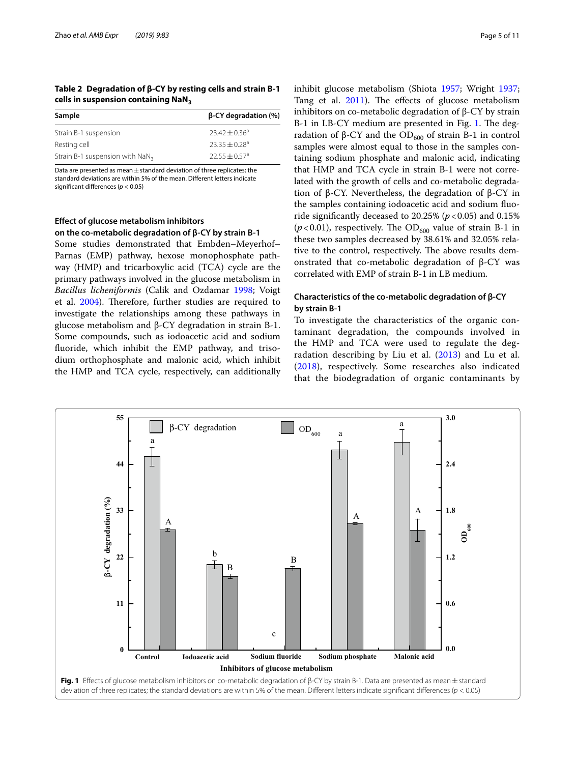<span id="page-4-0"></span>**Table 2 Degradation of β-CY by resting cells and strain B-1 cells in suspension containing NaN3**

| $\beta$ -CY degradation (%) |
|-----------------------------|
| $23.42 + 0.36^a$            |
| $23.35 + 0.28$ <sup>a</sup> |
| $22.55 + 0.57$ <sup>a</sup> |
|                             |

Data are presented as mean $\pm$  standard deviation of three replicates; the standard deviations are within 5% of the mean. Diferent letters indicate signifcant diferences (*p* < 0.05)

## **Efect of glucose metabolism inhibitors on the co‑metabolic degradation of β‑CY by strain B‑1**

Some studies demonstrated that Embden–Meyerhof– Parnas (EMP) pathway, hexose monophosphate pathway (HMP) and tricarboxylic acid (TCA) cycle are the primary pathways involved in the glucose metabolism in *Bacillus licheniformis* (Calik and Ozdamar [1998;](#page-9-3) Voigt et al. [2004](#page-10-23)). Therefore, further studies are required to investigate the relationships among these pathways in glucose metabolism and β-CY degradation in strain B-1. Some compounds, such as iodoacetic acid and sodium fuoride, which inhibit the EMP pathway, and trisodium orthophosphate and malonic acid, which inhibit the HMP and TCA cycle, respectively, can additionally inhibit glucose metabolism (Shiota [1957;](#page-10-18) Wright [1937](#page-10-19); Tang et al.  $2011$ ). The effects of glucose metabolism inhibitors on co-metabolic degradation of β-CY by strain B-[1](#page-4-1) in LB-CY medium are presented in Fig. 1. The degradation of β-CY and the  $OD_{600}$  of strain B-1 in control samples were almost equal to those in the samples containing sodium phosphate and malonic acid, indicating that HMP and TCA cycle in strain B-1 were not correlated with the growth of cells and co-metabolic degradation of β-CY. Nevertheless, the degradation of β-CY in the samples containing iodoacetic acid and sodium fuoride significantly deceased to  $20.25\%$  ( $p < 0.05$ ) and  $0.15\%$  $(p<0.01)$ , respectively. The OD<sub>600</sub> value of strain B-1 in these two samples decreased by 38.61% and 32.05% relative to the control, respectively. The above results demonstrated that co-metabolic degradation of β-CY was correlated with EMP of strain B-1 in LB medium.

## **Characteristics of the co‑metabolic degradation of β‑CY by strain B‑1**

To investigate the characteristics of the organic contaminant degradation, the compounds involved in the HMP and TCA were used to regulate the deg-radation describing by Liu et al. ([2013](#page-10-12)) and Lu et al. ([2018](#page-10-24)), respectively. Some researches also indicated that the biodegradation of organic contaminants by

<span id="page-4-1"></span>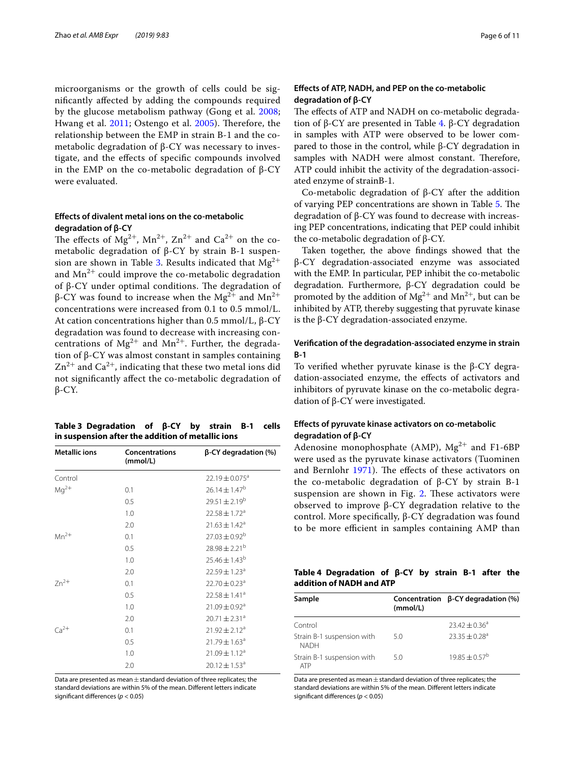microorganisms or the growth of cells could be signifcantly afected by adding the compounds required by the glucose metabolism pathway (Gong et al. [2008](#page-10-25); Hwang et al. [2011;](#page-10-26) Ostengo et al. [2005](#page-10-27)). Therefore, the relationship between the EMP in strain B-1 and the cometabolic degradation of β-CY was necessary to investigate, and the efects of specifc compounds involved in the EMP on the co-metabolic degradation of β-CY were evaluated.

#### **Efects of divalent metal ions on the co‑metabolic degradation of β‑CY**

The effects of  $Mg^{2+}$ ,  $Mn^{2+}$ ,  $Zn^{2+}$  and  $Ca^{2+}$  on the cometabolic degradation of β-CY by strain B-1 suspen-sion are shown in Table [3.](#page-5-0) Results indicated that  $Mg^{2+}$ and  $Mn^{2+}$  could improve the co-metabolic degradation of β-CY under optimal conditions. The degradation of β-CY was found to increase when the Mg<sup>2+</sup> and Mn<sup>2+</sup> concentrations were increased from 0.1 to 0.5 mmol/L. At cation concentrations higher than 0.5 mmol/L, β-CY degradation was found to decrease with increasing concentrations of  $Mg^{2+}$  and  $Mn^{2+}$ . Further, the degradation of β-CY was almost constant in samples containing  $\text{Zn}^{2+}$  and  $\text{Ca}^{2+}$ , indicating that these two metal ions did not signifcantly afect the co-metabolic degradation of β-CY.

<span id="page-5-0"></span>

| Table 3 Degradation of $\beta$ -CY by strain B-1 cells |  |  |  |
|--------------------------------------------------------|--|--|--|
| in suspension after the addition of metallic ions      |  |  |  |

| <b>Metallic ions</b> | <b>Concentrations</b><br>(mmol/L) | $\beta$ -CY degradation (%)   |
|----------------------|-----------------------------------|-------------------------------|
| Control              |                                   | 22.19 ± 0.075 <sup>a</sup>    |
| $Mq^{2+}$            | 0.1                               | $26.14 \pm 1.47^b$            |
|                      | 0.5                               | $29.51 \pm 2.19^b$            |
|                      | 1.0                               | $22.58 \pm 1.72$ <sup>a</sup> |
|                      | 2.0                               | $21.63 \pm 1.42^a$            |
| $Mn^{2+}$            | 0.1                               | $27.03 \pm 0.92^b$            |
|                      | 0.5                               | $28.98 \pm 2.21^{b}$          |
|                      | 1.0                               | $25.46 \pm 1.43^b$            |
|                      | 2.0                               | $22.59 \pm 1.23^a$            |
| $Zn^{2+}$            | 0.1                               | $22.70 \pm 0.23$ <sup>a</sup> |
|                      | 0.5                               | $22.58 \pm 1.41^a$            |
|                      | 1.0                               | $21.09 \pm 0.92$ <sup>a</sup> |
|                      | 2.0                               | $20.71 \pm 2.31^a$            |
| $Ca2+$               | 0.1                               | $21.92 \pm 2.12^a$            |
|                      | 0.5                               | $21.79 \pm 1.63$ <sup>a</sup> |
|                      | 1.0                               | $21.09 \pm 1.12^a$            |
|                      | 2.0                               | $20.12 \pm 1.53^a$            |

Data are presented as mean  $\pm$  standard deviation of three replicates; the standard deviations are within 5% of the mean. Diferent letters indicate signifcant diferences (*p* < 0.05)

## **Efects of ATP, NADH, and PEP on the co‑metabolic degradation of β‑CY**

The effects of ATP and NADH on co-metabolic degradation of β-CY are presented in Table [4.](#page-5-1) β-CY degradation in samples with ATP were observed to be lower compared to those in the control, while β-CY degradation in samples with NADH were almost constant. Therefore, ATP could inhibit the activity of the degradation-associated enzyme of strainB-1.

Co-metabolic degradation of β-CY after the addition of varying PEP concentrations are shown in Table [5](#page-6-0). The degradation of β-CY was found to decrease with increasing PEP concentrations, indicating that PEP could inhibit the co-metabolic degradation of β-CY.

Taken together, the above fndings showed that the β-CY degradation-associated enzyme was associated with the EMP. In particular, PEP inhibit the co-metabolic degradation. Furthermore, β-CY degradation could be promoted by the addition of  $Mg^{2+}$  and  $Mn^{2+}$ , but can be inhibited by ATP, thereby suggesting that pyruvate kinase is the β-CY degradation-associated enzyme.

## **Verifcation of the degradation‑associated enzyme in strain B‑1**

To verifed whether pyruvate kinase is the β-CY degradation-associated enzyme, the efects of activators and inhibitors of pyruvate kinase on the co-metabolic degradation of β-CY were investigated.

## **Efects of pyruvate kinase activators on co‑metabolic degradation of β‑CY**

Adenosine monophosphate (AMP),  $Mg^{2+}$  and F1-6BP were used as the pyruvate kinase activators (Tuominen and Bernlohr [1971\)](#page-10-28). The effects of these activators on the co-metabolic degradation of β-CY by strain B-1 suspension are shown in Fig. [2.](#page-6-1) These activators were observed to improve β-CY degradation relative to the control. More specifcally, β-CY degradation was found to be more efficient in samples containing AMP than

<span id="page-5-1"></span>

| Table 4 Degradation of $\beta$ -CY by strain B-1 after the |  |  |  |  |
|------------------------------------------------------------|--|--|--|--|
| addition of NADH and ATP                                   |  |  |  |  |

| Sample                                    |          | Concentration $\beta$ -CY degradation (%) |
|-------------------------------------------|----------|-------------------------------------------|
|                                           | (mmol/L) |                                           |
| Control                                   |          | $23.42 + 0.36^a$                          |
| Strain B-1 suspension with<br><b>NADH</b> | 5.0      | $23.35 + 0.28$ <sup>a</sup>               |
| Strain B-1 suspension with<br>ATP         | 5.0      | $19.85 \pm 0.57^{\text{b}}$               |

Data are presented as mean  $\pm$  standard deviation of three replicates; the standard deviations are within 5% of the mean. Diferent letters indicate signifcant diferences (*p* < 0.05)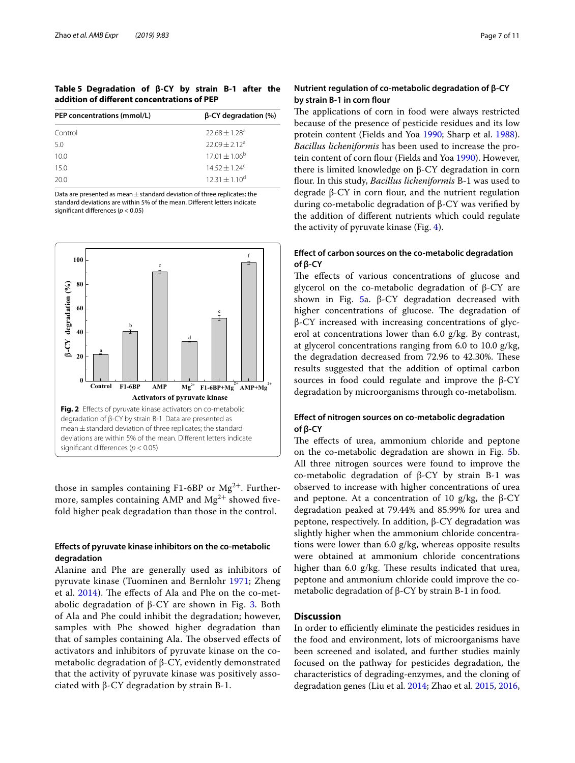<span id="page-6-0"></span>**Table 5 Degradation of β-CY by strain B-1 after the addition of diferent concentrations of PEP**

| PEP concentrations (mmol/L) | $\beta$ -CY degradation (%)   |
|-----------------------------|-------------------------------|
| Control                     | $22.68 \pm 1.28$ <sup>a</sup> |
| 5.0                         | $22.09 + 2.12a$               |
| 10.0                        | $17.01 \pm 1.06^{\rm b}$      |
| 15.0                        | $14.52 \pm 1.24^c$            |
| 20.0                        | $12.31 \pm 1.10^d$            |

Data are presented as mean  $\pm$  standard deviation of three replicates; the standard deviations are within 5% of the mean. Diferent letters indicate signifcant diferences (*p* < 0.05)



<span id="page-6-1"></span>those in samples containing F1-6BP or  $Mg^{2+}$ . Furthermore, samples containing AMP and  $Mg^{2+}$  showed fivefold higher peak degradation than those in the control.

## **Efects of pyruvate kinase inhibitors on the co‑metabolic degradation**

Alanine and Phe are generally used as inhibitors of pyruvate kinase (Tuominen and Bernlohr [1971;](#page-10-28) Zheng et al. [2014](#page-10-29)). The effects of Ala and Phe on the co-metabolic degradation of  $β$ -CY are shown in Fig. [3](#page-7-0). Both of Ala and Phe could inhibit the degradation; however, samples with Phe showed higher degradation than that of samples containing Ala. The observed effects of activators and inhibitors of pyruvate kinase on the cometabolic degradation of β-CY, evidently demonstrated that the activity of pyruvate kinase was positively associated with β-CY degradation by strain B-1.

## **Nutrient regulation of co‑metabolic degradation of β‑CY by strain B‑1 in corn four**

The applications of corn in food were always restricted because of the presence of pesticide residues and its low protein content (Fields and Yoa [1990;](#page-10-30) Sharp et al. [1988](#page-10-31)). *Bacillus licheniformis* has been used to increase the pro-tein content of corn flour (Fields and Yoa [1990](#page-10-30)). However, there is limited knowledge on β-CY degradation in corn flour. In this study, *Bacillus licheniformis* B-1 was used to degrade  $β$ -CY in corn flour, and the nutrient regulation during co-metabolic degradation of β-CY was verifed by the addition of diferent nutrients which could regulate the activity of pyruvate kinase (Fig. [4](#page-7-1)).

## **Efect of carbon sources on the co‑metabolic degradation of β‑CY**

The effects of various concentrations of glucose and glycerol on the co-metabolic degradation of β-CY are shown in Fig. [5](#page-8-0)a.  $β$ -CY degradation decreased with higher concentrations of glucose. The degradation of β-CY increased with increasing concentrations of glycerol at concentrations lower than 6.0 g/kg. By contrast, at glycerol concentrations ranging from 6.0 to 10.0 g/kg, the degradation decreased from 72.96 to 42.30%. These results suggested that the addition of optimal carbon sources in food could regulate and improve the β-CY degradation by microorganisms through co-metabolism.

## **Efect of nitrogen sources on co‑metabolic degradation of β‑CY**

The effects of urea, ammonium chloride and peptone on the co-metabolic degradation are shown in Fig. [5](#page-8-0)b. All three nitrogen sources were found to improve the co-metabolic degradation of β-CY by strain B-1 was observed to increase with higher concentrations of urea and peptone. At a concentration of 10  $g/kg$ , the β-CY degradation peaked at 79.44% and 85.99% for urea and peptone, respectively. In addition, β-CY degradation was slightly higher when the ammonium chloride concentrations were lower than 6.0 g/kg, whereas opposite results were obtained at ammonium chloride concentrations higher than 6.0  $g/kg$ . These results indicated that urea, peptone and ammonium chloride could improve the cometabolic degradation of β-CY by strain B-1 in food.

## **Discussion**

In order to efficiently eliminate the pesticides residues in the food and environment, lots of microorganisms have been screened and isolated, and further studies mainly focused on the pathway for pesticides degradation, the characteristics of degrading-enzymes, and the cloning of degradation genes (Liu et al. [2014](#page-10-7); Zhao et al. [2015](#page-10-2), [2016](#page-10-3),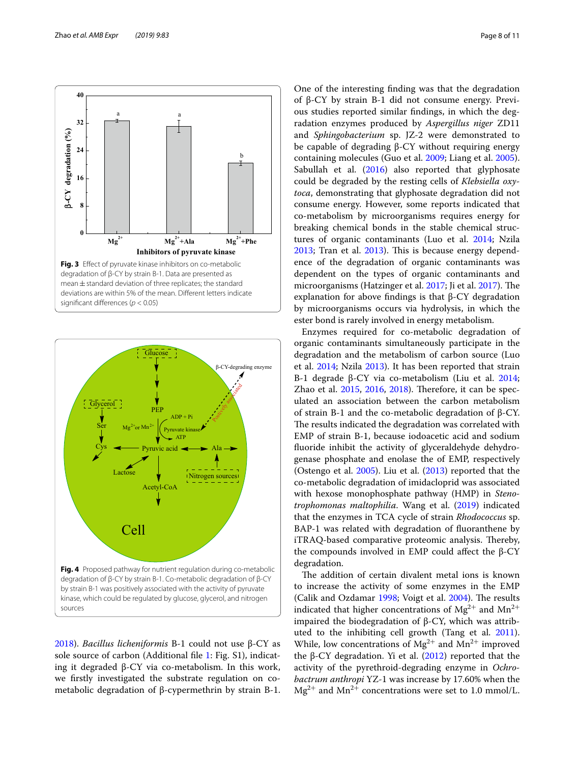

<span id="page-7-0"></span>

<span id="page-7-1"></span>[2018](#page-10-4)). *Bacillus licheniformis* B-1 could not use β-CY as sole source of carbon (Additional fle [1:](#page-9-4) Fig. S1), indicating it degraded β-CY via co-metabolism. In this work, we frstly investigated the substrate regulation on cometabolic degradation of β-cypermethrin by strain B-1.

One of the interesting fnding was that the degradation of β-CY by strain B-1 did not consume energy. Previous studies reported similar fndings, in which the degradation enzymes produced by *Aspergillus niger* ZD11 and *Sphingobacterium* sp. JZ-2 were demonstrated to be capable of degrading β-CY without requiring energy containing molecules (Guo et al. [2009;](#page-10-21) Liang et al. [2005](#page-10-32)). Sabullah et al.  $(2016)$  $(2016)$  also reported that glyphosate could be degraded by the resting cells of *Klebsiella oxytoca*, demonstrating that glyphosate degradation did not consume energy. However, some reports indicated that co-metabolism by microorganisms requires energy for breaking chemical bonds in the stable chemical structures of organic contaminants (Luo et al. [2014;](#page-10-5) Nzila [2013](#page-10-6); Tran et al. 2013). This is because energy dependence of the degradation of organic contaminants was dependent on the types of organic contaminants and microorganisms (Hatzinger et al. [2017](#page-10-34); Ji et al. 2017). The explanation for above fndings is that β-CY degradation by microorganisms occurs via hydrolysis, in which the ester bond is rarely involved in energy metabolism.

Enzymes required for co-metabolic degradation of organic contaminants simultaneously participate in the degradation and the metabolism of carbon source (Luo et al. [2014](#page-10-5); Nzila [2013](#page-10-13)). It has been reported that strain B-1 degrade β-CY via co-metabolism (Liu et al. [2014](#page-10-7); Zhao et al. [2015,](#page-10-2) [2016,](#page-10-3) [2018](#page-10-4)). Therefore, it can be speculated an association between the carbon metabolism of strain B-1 and the co-metabolic degradation of β-CY. The results indicated the degradation was correlated with EMP of strain B-1, because iodoacetic acid and sodium fuoride inhibit the activity of glyceraldehyde dehydrogenase phosphate and enolase the of EMP, respectively (Ostengo et al. [2005\)](#page-10-27). Liu et al. [\(2013\)](#page-10-12) reported that the co-metabolic degradation of imidacloprid was associated with hexose monophosphate pathway (HMP) in *Stenotrophomonas maltophilia*. Wang et al. ([2019](#page-10-35)) indicated that the enzymes in TCA cycle of strain *Rhodococcus* sp. BAP-1 was related with degradation of fuoranthene by iTRAQ-based comparative proteomic analysis. Thereby, the compounds involved in EMP could affect the  $β$ -CY degradation.

The addition of certain divalent metal ions is known to increase the activity of some enzymes in the EMP (Calik and Ozdamar [1998;](#page-9-3) Voigt et al. [2004\)](#page-10-23). The results indicated that higher concentrations of  $Mg^{2+}$  and  $Mn^{2+}$ impaired the biodegradation of β-CY, which was attributed to the inhibiting cell growth (Tang et al. [2011](#page-10-20)). While, low concentrations of  $Mg^{2+}$  and  $Mn^{2+}$  improved the β-CY degradation. Yi et al.  $(2012)$  reported that the activity of the pyrethroid-degrading enzyme in *Ochrobactrum anthropi* YZ-1 was increase by 17.60% when the  $Mg^{2+}$  and  $Mn^{2+}$  concentrations were set to 1.0 mmol/L.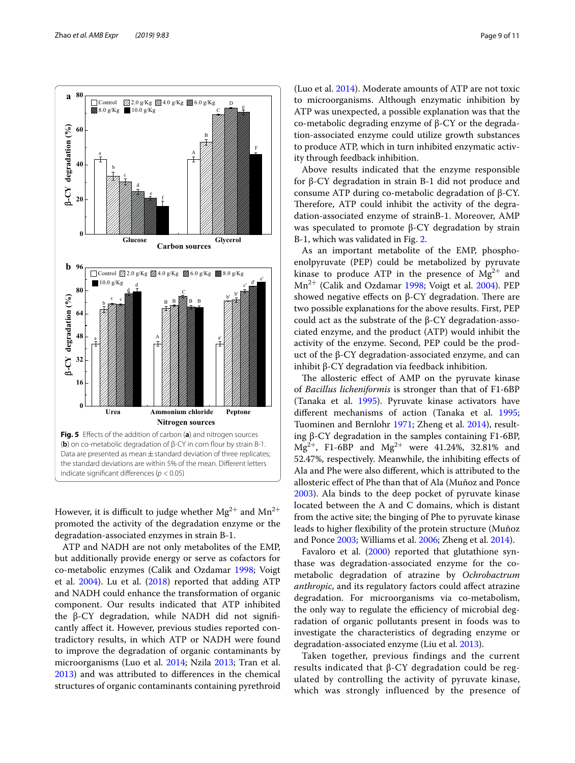

<span id="page-8-0"></span>However, it is difficult to judge whether  $Mg^{2+}$  and  $Mn^{2+}$ promoted the activity of the degradation enzyme or the degradation-associated enzymes in strain B-1.

ATP and NADH are not only metabolites of the EMP, but additionally provide energy or serve as cofactors for co-metabolic enzymes (Calik and Ozdamar [1998;](#page-9-3) Voigt et al.  $2004$ ). Lu et al.  $(2018)$  $(2018)$  $(2018)$  reported that adding ATP and NADH could enhance the transformation of organic component. Our results indicated that ATP inhibited the β-CY degradation, while NADH did not signifcantly afect it. However, previous studies reported contradictory results, in which ATP or NADH were found to improve the degradation of organic contaminants by microorganisms (Luo et al. [2014;](#page-10-5) Nzila [2013;](#page-10-13) Tran et al. [2013](#page-10-6)) and was attributed to diferences in the chemical structures of organic contaminants containing pyrethroid

(Luo et al. [2014\)](#page-10-5). Moderate amounts of ATP are not toxic to microorganisms. Although enzymatic inhibition by ATP was unexpected, a possible explanation was that the co-metabolic degrading enzyme of β-CY or the degradation-associated enzyme could utilize growth substances to produce ATP, which in turn inhibited enzymatic activity through feedback inhibition.

Above results indicated that the enzyme responsible for β-CY degradation in strain B-1 did not produce and consume ATP during co-metabolic degradation of β-CY. Therefore, ATP could inhibit the activity of the degradation-associated enzyme of strainB-1. Moreover, AMP was speculated to promote β-CY degradation by strain B-1, which was validated in Fig. [2](#page-6-1).

As an important metabolite of the EMP, phosphoenolpyruvate (PEP) could be metabolized by pyruvate kinase to produce ATP in the presence of  $Mg^{2+}$  and  $Mn^{2+}$  (Calik and Ozdamar [1998](#page-9-3); Voigt et al. [2004](#page-10-23)). PEP showed negative effects on  $β$ -CY degradation. There are two possible explanations for the above results. First, PEP could act as the substrate of the β-CY degradation-associated enzyme, and the product (ATP) would inhibit the activity of the enzyme. Second, PEP could be the product of the β-CY degradation-associated enzyme, and can inhibit β-CY degradation via feedback inhibition.

The allosteric effect of AMP on the pyruvate kinase of *Bacillus licheniformis* is stronger than that of F1-6BP (Tanaka et al. [1995\)](#page-10-37). Pyruvate kinase activators have diferent mechanisms of action (Tanaka et al. [1995](#page-10-37); Tuominen and Bernlohr [1971](#page-10-28); Zheng et al. [2014\)](#page-10-29), resulting β-CY degradation in the samples containing F1-6BP,  $Mg^{2+}$ , F1-6BP and  $Mg^{2+}$  were 41.24%, 32.81% and 52.47%, respectively. Meanwhile, the inhibiting efects of Ala and Phe were also diferent, which is attributed to the allosteric efect of Phe than that of Ala (Muñoz and Ponce [2003](#page-10-38)). Ala binds to the deep pocket of pyruvate kinase located between the A and C domains, which is distant from the active site; the binging of Phe to pyruvate kinase leads to higher fexibility of the protein structure (Muñoz and Ponce [2003;](#page-10-38) Williams et al. [2006;](#page-10-39) Zheng et al. [2014](#page-10-29)).

Favaloro et al. ([2000](#page-10-40)) reported that glutathione synthase was degradation-associated enzyme for the cometabolic degradation of atrazine by *Ochrobactrum anthropic*, and its regulatory factors could afect atrazine degradation. For microorganisms via co-metabolism, the only way to regulate the efficiency of microbial degradation of organic pollutants present in foods was to investigate the characteristics of degrading enzyme or degradation-associated enzyme (Liu et al. [2013](#page-10-12)).

Taken together, previous findings and the current results indicated that β-CY degradation could be regulated by controlling the activity of pyruvate kinase, which was strongly influenced by the presence of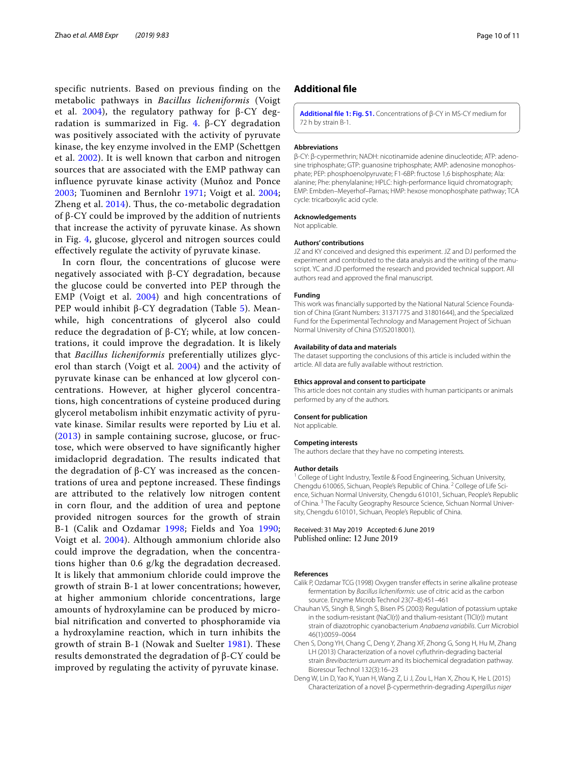specific nutrients. Based on previous finding on the metabolic pathways in *Bacillus licheniformis* (Voigt et al. [2004\)](#page-10-23), the regulatory pathway for  $β$ -CY deg-radation is summarized in Fig. [4](#page-7-1).  $\beta$ -CY degradation was positively associated with the activity of pyruvate kinase, the key enzyme involved in the EMP (Schettgen et al. [2002](#page-10-11)). It is well known that carbon and nitrogen sources that are associated with the EMP pathway can influence pyruvate kinase activity (Muñoz and Ponce [2003](#page-10-38); Tuominen and Bernlohr [1971](#page-10-28); Voigt et al. [2004](#page-10-23); Zheng et al. [2014\)](#page-10-29). Thus, the co-metabolic degradation of β-CY could be improved by the addition of nutrients that increase the activity of pyruvate kinase. As shown in Fig. [4,](#page-7-1) glucose, glycerol and nitrogen sources could effectively regulate the activity of pyruvate kinase.

In corn flour, the concentrations of glucose were negatively associated with β-CY degradation, because the glucose could be converted into PEP through the EMP (Voigt et al. [2004\)](#page-10-23) and high concentrations of PEP would inhibit β-CY degradation (Table [5\)](#page-6-0). Meanwhile, high concentrations of glycerol also could reduce the degradation of  $β$ -CY; while, at low concentrations, it could improve the degradation. It is likely that *Bacillus licheniformis* preferentially utilizes glycerol than starch (Voigt et al. [2004](#page-10-23)) and the activity of pyruvate kinase can be enhanced at low glycerol concentrations. However, at higher glycerol concentrations, high concentrations of cysteine produced during glycerol metabolism inhibit enzymatic activity of pyruvate kinase. Similar results were reported by Liu et al. ([2013\)](#page-10-12) in sample containing sucrose, glucose, or fructose, which were observed to have significantly higher imidacloprid degradation. The results indicated that the degradation of β-CY was increased as the concentrations of urea and peptone increased. These findings are attributed to the relatively low nitrogen content in corn flour, and the addition of urea and peptone provided nitrogen sources for the growth of strain B-1 (Calik and Ozdamar [1998](#page-9-3); Fields and Yoa [1990](#page-10-30); Voigt et al. [2004\)](#page-10-23). Although ammonium chloride also could improve the degradation, when the concentrations higher than 0.6 g/kg the degradation decreased. It is likely that ammonium chloride could improve the growth of strain B-1 at lower concentrations; however, at higher ammonium chloride concentrations, large amounts of hydroxylamine can be produced by microbial nitrification and converted to phosphoramide via a hydroxylamine reaction, which in turn inhibits the growth of strain B-1 (Nowak and Suelter [1981](#page-10-41)). These results demonstrated the degradation of β-CY could be improved by regulating the activity of pyruvate kinase.

#### **Additional fle**

<span id="page-9-4"></span>**[Additional fle 1: Fig. S1.](https://doi.org/10.1186/s13568-019-0808-3)** Concentrations of β-CY in MS-CY medium for 72 h by strain B-1.

#### **Abbreviations**

β-CY: β-cypermethrin; NADH: nicotinamide adenine dinucleotide; ATP: adenosine triphosphate; GTP: guanosine triphosphate; AMP: adenosine monophosphate; PEP: phosphoenolpyruvate; F1-6BP: fructose 1,6 bisphosphate; Ala: alanine; Phe: phenylalanine; HPLC: high-performance liquid chromatograph; EMP: Embden–Meyerhof–Parnas; HMP: hexose monophosphate pathway; TCA cycle: tricarboxylic acid cycle.

#### **Acknowledgements**

Not applicable.

#### **Authors' contributions**

JZ and KY conceived and designed this experiment. JZ and DJ performed the experiment and contributed to the data analysis and the writing of the manuscript. YC and JD performed the research and provided technical support. All authors read and approved the fnal manuscript.

#### **Funding**

This work was fnancially supported by the National Natural Science Foundation of China (Grant Numbers: 31371775 and 31801644), and the Specialized Fund for the Experimental Technology and Management Project of Sichuan Normal University of China (SYJS2018001).

#### **Availability of data and materials**

The dataset supporting the conclusions of this article is included within the article. All data are fully available without restriction.

#### **Ethics approval and consent to participate**

This article does not contain any studies with human participants or animals performed by any of the authors.

#### **Consent for publication**

Not applicable.

#### **Competing interests**

The authors declare that they have no competing interests.

#### **Author details**

College of Light Industry, Textile & Food Engineering, Sichuan University, Chengdu 610065, Sichuan, People's Republic of China. <sup>2</sup> College of Life Science, Sichuan Normal University, Chengdu 610101, Sichuan, People's Republic of China. <sup>3</sup> The Faculty Geography Resource Science, Sichuan Normal University, Chengdu 610101, Sichuan, People's Republic of China.

Received: 31 May 2019 Accepted: 6 June 2019 Published online: 12 June 2019

#### **References**

- <span id="page-9-3"></span>Calik P, Ozdamar TCG (1998) Oxygen transfer efects in serine alkaline protease fermentation by *Bacillus licheniformis*: use of citric acid as the carbon source. Enzyme Microb Technol 23(7–8):451–461
- <span id="page-9-2"></span>Chauhan VS, Singh B, Singh S, Bisen PS (2003) Regulation of potassium uptake in the sodium-resistant (NaCl(r)) and thalium-resistant (TlCl(r)) mutant strain of diazotrophic cyanobacterium *Anabaena variabilis*. Curr Microbiol 46(1):0059–0064
- <span id="page-9-1"></span>Chen S, Dong YH, Chang C, Deng Y, Zhang XF, Zhong G, Song H, Hu M, Zhang LH (2013) Characterization of a novel cyfuthrin-degrading bacterial strain *Brevibacterium aureum* and its biochemical degradation pathway. Bioresour Technol 132(3):16–23
- <span id="page-9-0"></span>Deng W, Lin D, Yao K, Yuan H, Wang Z, Li J, Zou L, Han X, Zhou K, He L (2015) Characterization of a novel β-cypermethrin-degrading *Aspergillus niger*